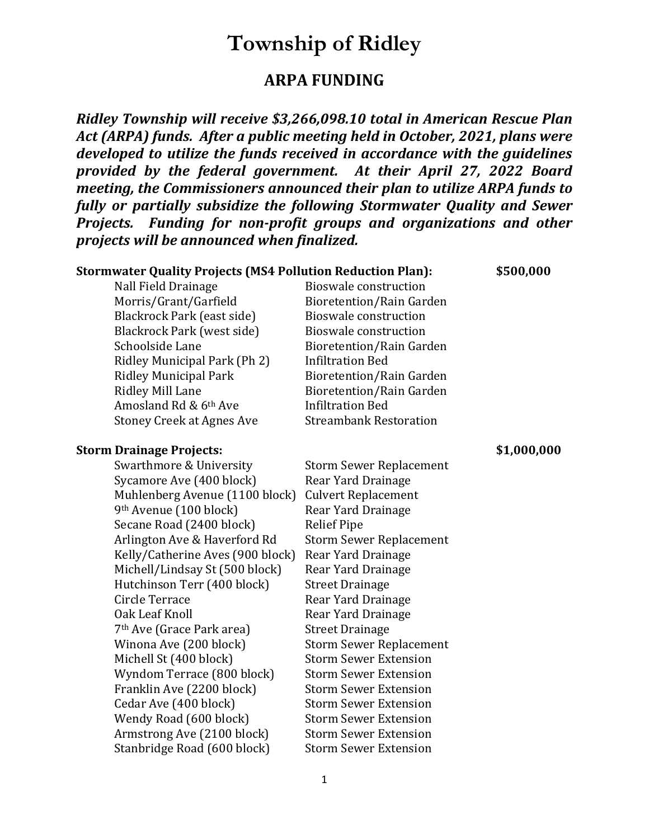## **Township of Ridley**

## **ARPA FUNDING**

*Ridley Township will receive \$3,266,098.10 total in American Rescue Plan Act (ARPA) funds. After a public meeting held in October, 2021, plans were developed to utilize the funds received in accordance with the guidelines provided by the federal government. At their April 27, 2022 Board meeting, the Commissioners announced their plan to utilize ARPA funds to fully or partially subsidize the following Stormwater Quality and Sewer Projects. Funding for non-profit groups and organizations and other projects will be announced when finalized.*

| <b>Stormwater Quality Projects (MS4 Pollution Reduction Plan):</b> |                                 | \$500,000   |
|--------------------------------------------------------------------|---------------------------------|-------------|
| Nall Field Drainage                                                | <b>Bioswale construction</b>    |             |
| Morris/Grant/Garfield                                              | <b>Bioretention/Rain Garden</b> |             |
| Blackrock Park (east side)                                         | <b>Bioswale construction</b>    |             |
| Blackrock Park (west side)                                         | <b>Bioswale construction</b>    |             |
| Schoolside Lane                                                    | <b>Bioretention/Rain Garden</b> |             |
| Ridley Municipal Park (Ph 2)                                       | <b>Infiltration Bed</b>         |             |
| <b>Ridley Municipal Park</b>                                       | <b>Bioretention/Rain Garden</b> |             |
| <b>Ridley Mill Lane</b>                                            | <b>Bioretention/Rain Garden</b> |             |
| Amosland Rd & 6th Ave                                              | <b>Infiltration Bed</b>         |             |
| <b>Stoney Creek at Agnes Ave</b>                                   | <b>Streambank Restoration</b>   |             |
| <b>Storm Drainage Projects:</b>                                    |                                 | \$1,000,000 |
| Swarthmore & University                                            | <b>Storm Sewer Replacement</b>  |             |
| Sycamore Ave (400 block)                                           | Rear Yard Drainage              |             |
| Muhlenberg Avenue (1100 block)                                     | <b>Culvert Replacement</b>      |             |
| 9th Avenue (100 block)                                             | Rear Yard Drainage              |             |
| Secane Road (2400 block)                                           | <b>Relief Pipe</b>              |             |
| Arlington Ave & Haverford Rd                                       | <b>Storm Sewer Replacement</b>  |             |
| Kelly/Catherine Aves (900 block)                                   | Rear Yard Drainage              |             |
| Michell/Lindsay St (500 block)                                     | Rear Yard Drainage              |             |
| Hutchinson Terr (400 block)                                        | <b>Street Drainage</b>          |             |
| Circle Terrace                                                     | Rear Yard Drainage              |             |
| Oak Leaf Knoll                                                     | Rear Yard Drainage              |             |
| 7 <sup>th</sup> Ave (Grace Park area)                              | <b>Street Drainage</b>          |             |
| Winona Ave (200 block)                                             | <b>Storm Sewer Replacement</b>  |             |
| Michell St (400 block)                                             | <b>Storm Sewer Extension</b>    |             |
| Wyndom Terrace (800 block)                                         | <b>Storm Sewer Extension</b>    |             |
| Franklin Ave (2200 block)                                          | <b>Storm Sewer Extension</b>    |             |
| Cedar Ave (400 block)                                              | <b>Storm Sewer Extension</b>    |             |
| Wendy Road (600 block)                                             | <b>Storm Sewer Extension</b>    |             |
| Armstrong Ave (2100 block)                                         | <b>Storm Sewer Extension</b>    |             |
| Stanbridge Road (600 block)                                        | <b>Storm Sewer Extension</b>    |             |